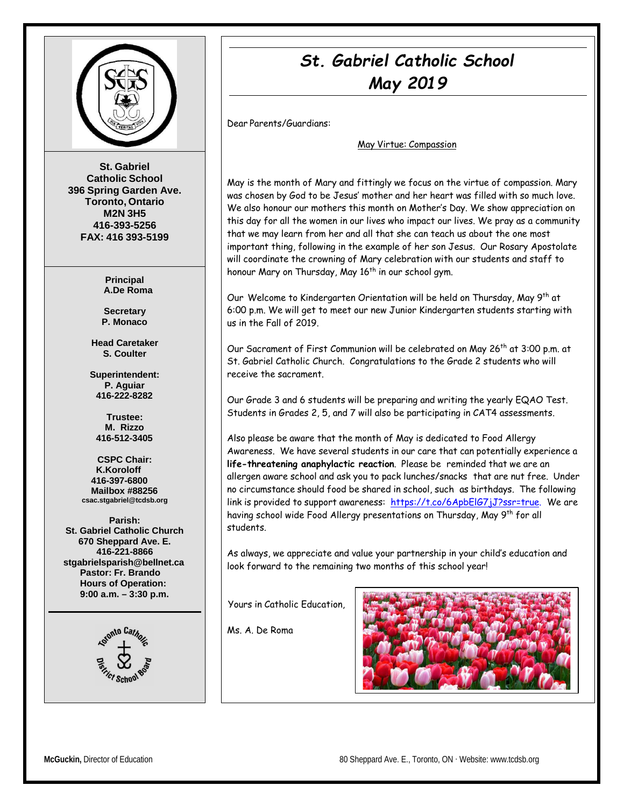

**St. Gabriel Catholic School 396 Spring Garden Ave. Toronto, Ontario M2N 3H5 416-393-5256 FAX: 416 393-5199**

> **Principal A.De Roma**

**Secretary P. Monaco**

**Head Caretaker S. Coulter**

**Superintendent: P. Aguiar 416-222-8282**

**Trustee: M. Rizzo 416-512-3405**

**CSPC Chair: K.Koroloff 416-397-6800 Mailbox #88256 [csac.stgabriel@tcdsb.org](mailto:csac.stgabriel@tcdsb.org)**

**Parish: St. Gabriel Catholic Church 670 Sheppard Ave. E. 416-221-8866 [stgabrielsparish@bellnet.ca](mailto:stgabrielsparish@bellnet.ca) Pastor: Fr. Brando Hours of Operation: 9:00 a.m. – 3:30 p.m.**



# *St. Gabriel Catholic School May 2019*

Dear Parents/Guardians:

May Virtue: Compassion

May is the month of Mary and fittingly we focus on the virtue of compassion. Mary was chosen by God to be Jesus' mother and her heart was filled with so much love. We also honour our mothers this month on Mother's Day. We show appreciation on this day for all the women in our lives who impact our lives. We pray as a community that we may learn from her and all that she can teach us about the one most important thing, following in the example of her son Jesus. Our Rosary Apostolate will coordinate the crowning of Mary celebration with our students and staff to honour Mary on Thursday, May  $16<sup>th</sup>$  in our school gym.

Our Welcome to Kindergarten Orientation will be held on Thursday, May 9<sup>th</sup> at 6:00 p.m. We will get to meet our new Junior Kindergarten students starting with us in the Fall of 2019.

Our Sacrament of First Communion will be celebrated on May 26th at 3:00 p.m. at St. Gabriel Catholic Church. Congratulations to the Grade 2 students who will receive the sacrament.

Our Grade 3 and 6 students will be preparing and writing the yearly EQAO Test. Students in Grades 2, 5, and 7 will also be participating in CAT4 assessments.

Also please be aware that the month of May is dedicated to Food Allergy Awareness. We have several students in our care that can potentially experience a **life-threatening anaphylactic reaction**. Please be reminded that we are an allergen aware school and ask you to pack lunches/snacks that are nut free. Under no circumstance should food be shared in school, such as birthdays. The following link is provided to support awareness: [https://t.co/6ApbElG7jJ?ssr=true.](https://t.co/6ApbElG7jJ?ssr=true) We are having school wide Food Allergy presentations on Thursday, May 9<sup>th</sup> for all students.

As always, we appreciate and value your partnership in your child's education and look forward to the remaining two months of this school year!

Yours in Catholic Education,

Ms. A. De Roma

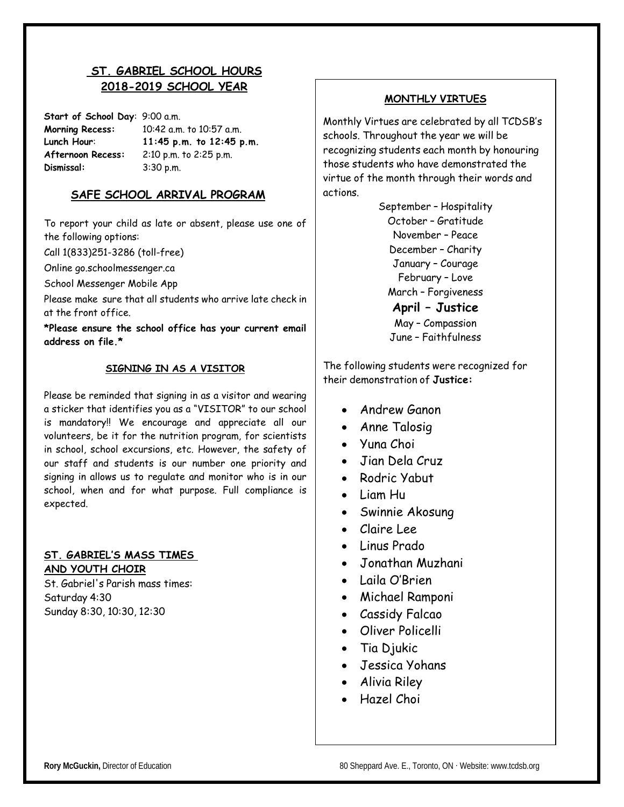# **ST. GABRIEL SCHOOL HOURS 2018-2019 SCHOOL YEAR**

**Start of School Day**: 9:00 a.m. **Morning Recess:** 10:42 a.m. to 10:57 a.m. **Lunch Hour**: **11:45 p.m. to 12:45 p.m. Afternoon Recess:** 2:10 p.m. to 2:25 p.m. **Dismissal:** 3:30 p.m.

#### **SAFE SCHOOL ARRIVAL PROGRAM**

To report your child as late or absent, please use one of the following options:

Call 1(833)251-3286 (toll-free)

Online go.schoolmessenger.ca

School Messenger Mobile App

Please make sure that all students who arrive late check in at the front office.

**\*Please ensure the school office has your current email address on file.\***

#### **SIGNING IN AS A VISITOR**

Please be reminded that signing in as a visitor and wearing a sticker that identifies you as a "VISITOR" to our school is mandatory!! We encourage and appreciate all our volunteers, be it for the nutrition program, for scientists in school, school excursions, etc. However, the safety of our staff and students is our number one priority and signing in allows us to regulate and monitor who is in our school, when and for what purpose. Full compliance is expected.

#### **ST. GABRIEL'S MASS TIMES AND YOUTH CHOIR**

St. Gabriel's Parish mass times: Saturday 4:30 Sunday 8:30, 10:30, 12:30

#### **MONTHLY VIRTUES**

Monthly Virtues are celebrated by all TCDSB's schools. Throughout the year we will be recognizing students each month by honouring those students who have demonstrated the virtue of the month through their words and actions.

> September – Hospitality October – Gratitude November – Peace December – Charity January – Courage February – Love March – Forgiveness **April – Justice** May – Compassion June – Faithfulness

The following students were recognized for their demonstration of **Justice:**

- Andrew Ganon
- Anne Talosig
- Yuna Choi
- Jian Dela Cruz
- Rodric Yabut
- Liam Hu
- Swinnie Akosung
- Claire Lee
- Linus Prado
- Jonathan Muzhani
- Laila O'Brien
- Michael Ramponi
- Cassidy Falcao
- Oliver Policelli
- Tia Djukic
- Jessica Yohans
- Alivia Riley
- Hazel Choi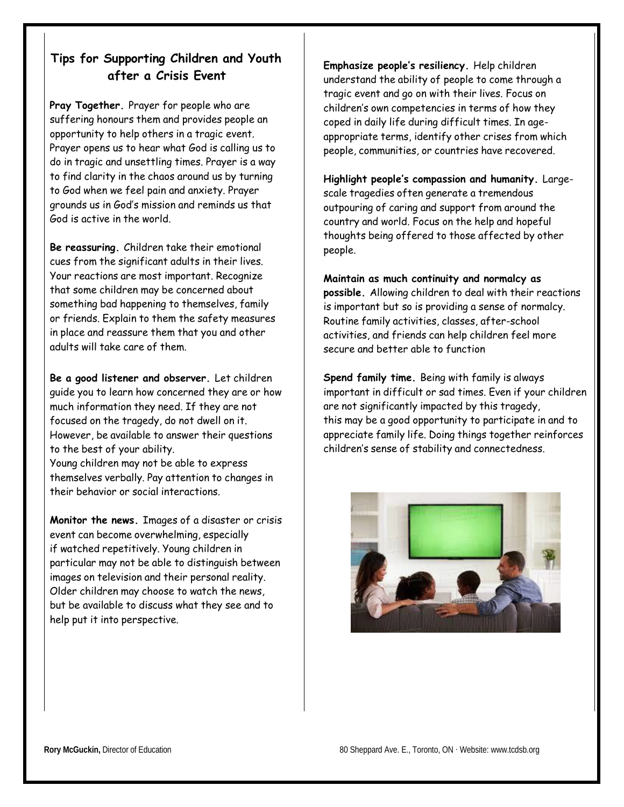# **Tips for Supporting Children and Youth after a Crisis Event**

**Pray Together.** Prayer for people who are suffering honours them and provides people an opportunity to help others in a tragic event. Prayer opens us to hear what God is calling us to do in tragic and unsettling times. Prayer is a way to find clarity in the chaos around us by turning to God when we feel pain and anxiety. Prayer grounds us in God's mission and reminds us that God is active in the world.

**Be reassuring.** Children take their emotional cues from the significant adults in their lives. Your reactions are most important. Recognize that some children may be concerned about something bad happening to themselves, family or friends. Explain to them the safety measures in place and reassure them that you and other adults will take care of them.

**Be a good listener and observer.** Let children guide you to learn how concerned they are or how much information they need. If they are not focused on the tragedy, do not dwell on it. However, be available to answer their questions to the best of your ability. Young children may not be able to express themselves verbally. Pay attention to changes in their behavior or social interactions.

**Monitor the news.** Images of a disaster or crisis event can become overwhelming, especially if watched repetitively. Young children in particular may not be able to distinguish between images on television and their personal reality. Older children may choose to watch the news, but be available to discuss what they see and to help put it into perspective.

**Emphasize people's resiliency.** Help children understand the ability of people to come through a tragic event and go on with their lives. Focus on children's own competencies in terms of how they coped in daily life during difficult times. In ageappropriate terms, identify other crises from which people, communities, or countries have recovered.

**Highlight people's compassion and humanity.** Largescale tragedies often generate a tremendous outpouring of caring and support from around the country and world. Focus on the help and hopeful thoughts being offered to those affected by other people.

**Maintain as much continuity and normalcy as possible.** Allowing children to deal with their reactions is important but so is providing a sense of normalcy. Routine family activities, classes, after-school activities, and friends can help children feel more secure and better able to function

**Spend family time.** Being with family is always important in difficult or sad times. Even if your children are not significantly impacted by this tragedy, this may be a good opportunity to participate in and to appreciate family life. Doing things together reinforces children's sense of stability and connectedness.

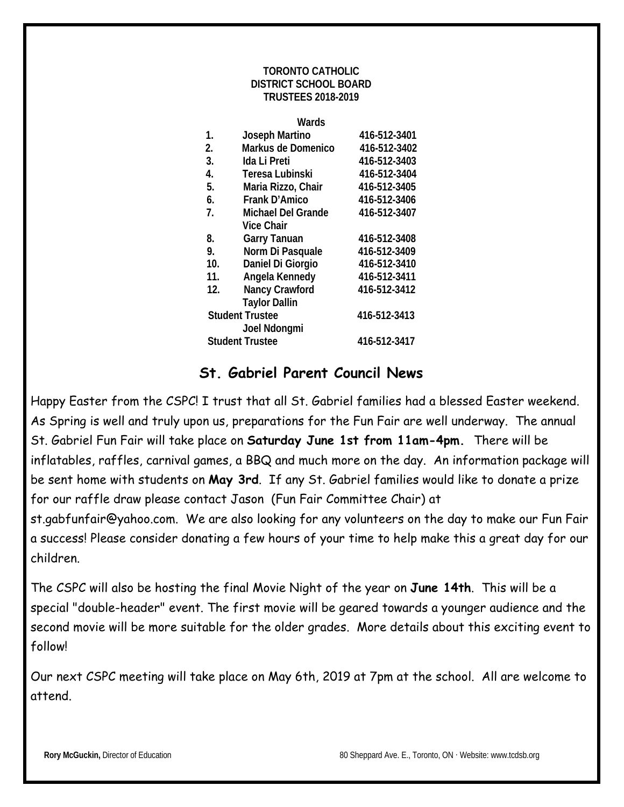#### **TORONTO CATHOLIC DISTRICT SCHOOL BOARD TRUSTEES 2018-2019**

| M.<br>×<br>×<br>۰. |  |
|--------------------|--|
|--------------------|--|

| 1.  | Joseph Martino            | 416-512-3401 |
|-----|---------------------------|--------------|
| 2.  | Markus de Domenico        | 416-512-3402 |
| 3.  | Ida Li Preti              | 416-512-3403 |
| 4.  | Teresa Lubinski           | 416-512-3404 |
| 5.  | Maria Rizzo, Chair        | 416-512-3405 |
| 6.  | Frank D'Amico             | 416-512-3406 |
| 7.  | <b>Michael Del Grande</b> | 416-512-3407 |
|     | <b>Vice Chair</b>         |              |
| 8.  | <b>Garry Tanuan</b>       | 416-512-3408 |
| 9.  | Norm Di Pasquale          | 416-512-3409 |
| 10. | Daniel Di Giorgio         | 416-512-3410 |
| 11. | Angela Kennedy            | 416-512-3411 |
| 12. | Nancy Crawford            | 416-512-3412 |
|     | <b>Taylor Dallin</b>      |              |
|     | <b>Student Trustee</b>    | 416-512-3413 |
|     | Joel Ndongmi              |              |
|     | <b>Student Trustee</b>    | 416-512-3417 |
|     |                           |              |

# **St. Gabriel Parent Council News**

Happy Easter from the CSPC! I trust that all St. Gabriel families had a blessed Easter weekend. As Spring is well and truly upon us, preparations for the Fun Fair are well underway. The annual St. Gabriel Fun Fair will take place on **Saturday June 1st from 11am-4pm.** There will be inflatables, raffles, carnival games, a BBQ and much more on the day. An information package will be sent home with students on **May 3rd**. If any St. Gabriel families would like to donate a prize for our raffle draw please contact Jason (Fun Fair Committee Chair) at

st.gabfunfair@yahoo.com. We are also looking for any volunteers on the day to make our Fun Fair a success! Please consider donating a few hours of your time to help make this a great day for our children.

The CSPC will also be hosting the final Movie Night of the year on **June 14th**. This will be a special "double-header" event. The first movie will be geared towards a younger audience and the second movie will be more suitable for the older grades. More details about this exciting event to follow!

Our next CSPC meeting will take place on May 6th, 2019 at 7pm at the school. All are welcome to attend.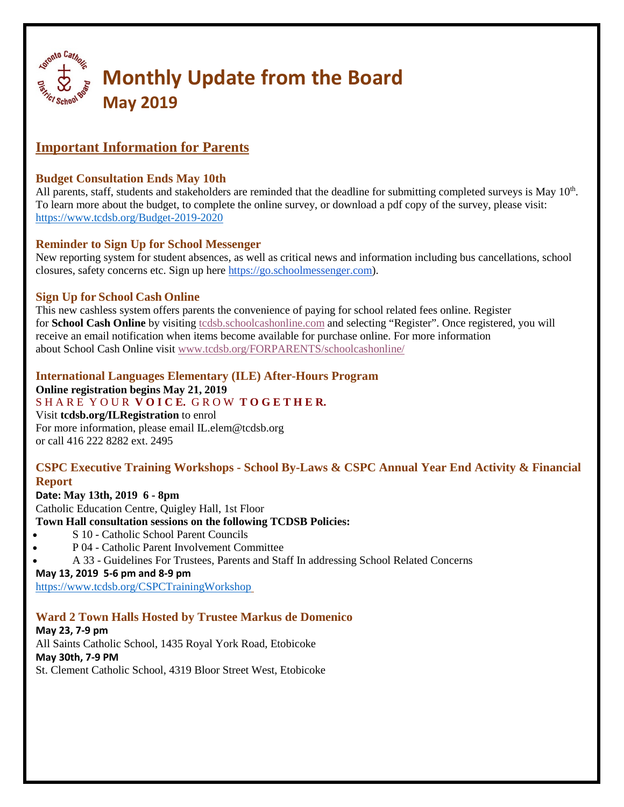

# **Important Information for Parents**

## **Budget Consultation Ends May 10th**

All parents, staff, students and stakeholders are reminded that the deadline for submitting completed surveys is May  $10<sup>th</sup>$ . To learn more about the budget, to complete the online survey, or download a pdf copy of the survey, please visit: <https://www.tcdsb.org/Budget-2019-2020>

## **Reminder to Sign Up for School Messenger**

New reporting system for student absences, as well as critical news and information including bus cancellations, school closures, safety concerns etc. Sign up here [https://go.schoolmessenger.com\)](https://go.schoolmessenger.com/).

## **Sign Up for School Cash Online**

This new cashless system offers parents the convenience of paying for school related fees online. Register for **School Cash Online** by visiting to the schoolcashonline.com and selecting "Register". Once registered, you will receive an email notification when items become available for purchase online. For more information about School Cash Online visit [www.tcdsb.org/FORPARENTS/schoolcashonline/](http://www.tcdsb.org/FORPARENTS/schoolcashonline/)

# **International Languages Elementary (ILE) After-Hours Program**

**Online registration begins May 21, 2019**

S H A R E Y O U R **V O I C E.** G R O W **T O G E T H E R.** 

Visit **tcdsb.org/ILRegistration** to enrol For more information, please email IL.elem@tcdsb.org or call 416 222 8282 ext. 2495

## **CSPC Executive Training Workshops - School By-Laws & CSPC Annual Year End Activity & Financial Report**

#### **Date: May 13th, 2019 6 - 8pm**

Catholic Education Centre, Quigley Hall, 1st Floor

- **Town Hall consultation sessions on the following TCDSB Policies:**
- S 10 Catholic School Parent Councils
- P 04 Catholic Parent Involvement Committee
- A 33 Guidelines For Trustees, Parents and Staff In addressing School Related Concerns

#### **May 13, 2019 5-6 pm and 8-9 pm**

<https://www.tcdsb.org/CSPCTrainingWorkshop>

## **Ward 2 Town Halls Hosted by Trustee Markus de Domenico**

#### **May 23, 7-9 pm** All Saints Catholic School, 1435 Royal York Road, Etobicoke **May 30th, 7-9 PM** St. Clement Catholic School, 4319 Bloor Street West, Etobicoke